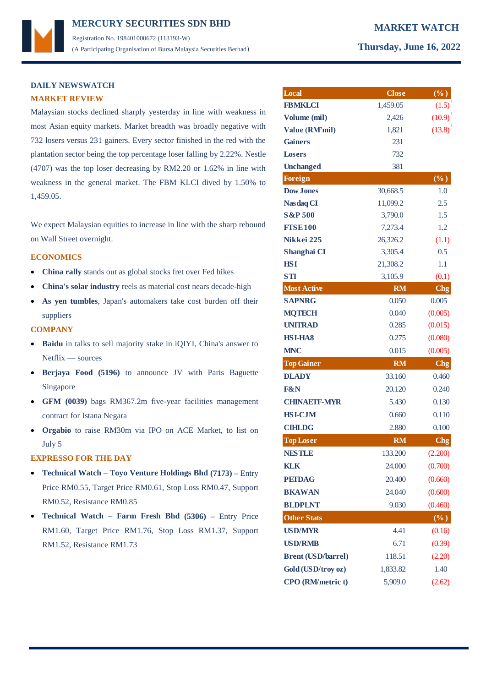# **MERCURY MARKET WATCH SECURITIES SDN BHD**  Registration No. 198401000672 (113193-W) (A Participating Organisation of Bursa Malaysia Securities Berhad) **Thursday, June 16, 2022**

# **DAILY NEWSWATCH MARKET REVIEW**

Malaysian stocks declined sharply yesterday in line with weakness in most Asian equity markets. Market breadth was broadly negative with 732 losers versus 231 gainers. Every sector finished in the red with the plantation sector being the top percentage loser falling by 2.22%. Nestle (4707) was the top loser decreasing by RM2.20 or 1.62% in line with weakness in the general market. The FBM KLCI dived by 1.50% to 1,459.05.

We expect Malaysian equities to increase in line with the sharp rebound on Wall Street overnight.

## **ECONOMICS**

- **China rally** stands out as global stocks fret over Fed hikes
- **China's solar industry** reels as material cost nears decade-high
- **As yen tumbles**, Japan's automakers take cost burden off their suppliers

## **COMPANY**

- **Baidu** in talks to sell majority stake in iQIYI, China's answer to Netflix — sources
- **Berjaya Food (5196)** to announce JV with Paris Baguette Singapore
- **GFM (0039)** bags RM367.2m five-year facilities management contract for Istana Negara
- **Orgabio** to raise RM30m via IPO on ACE Market, to list on July 5

## **EXPRESSO FOR THE DAY**

- **Technical Watch Toyo Venture Holdings Bhd (7173) –** Entry Price RM0.55, Target Price RM0.61, Stop Loss RM0.47, Support RM0.52, Resistance RM0.85
- **Technical Watch Farm Fresh Bhd (5306) –** Entry Price RM1.60, Target Price RM1.76, Stop Loss RM1.37, Support RM1.52, Resistance RM1.73

| Local                     | <b>Close</b> | (%)               |
|---------------------------|--------------|-------------------|
| <b>FBMKLCI</b>            | 1,459.05     | (1.5)             |
| Volume (mil)              | 2,426        | (10.9)            |
| Value (RM'mil)            | 1,821        | (13.8)            |
| <b>Gainers</b>            | 231          |                   |
| <b>Losers</b>             | 732          |                   |
| <b>Unchanged</b>          | 381          |                   |
| <b>Foreign</b>            |              | $(\%)$            |
| <b>Dow Jones</b>          | 30,668.5     | 1.0               |
| <b>Nasdaq CI</b>          | 11,099.2     | 2.5               |
| <b>S&amp;P 500</b>        | 3,790.0      | 1.5               |
| <b>FISE100</b>            | 7,273.4      | 1.2               |
| Nikkei 225                | 26,326.2     | (1.1)             |
| Shanghai CI               | 3,305.4      | 0.5               |
| HSI                       | 21,308.2     | 1.1               |
| STI                       | 3,105.9      | (0.1)             |
| <b>Most Active</b>        | <b>RM</b>    | <b>Chg</b>        |
| <b>SAPNRG</b>             | 0.050        | 0.005             |
| <b>MQTECH</b>             | 0.040        | (0.005)           |
| <b>UNITRAD</b>            | 0.285        | (0.015)           |
| <b>HSI-HA8</b>            | 0.275        | (0.080)           |
| <b>MNC</b>                | 0.015        | (0.005)           |
| <b>Top Gainer</b>         | <b>RM</b>    | <b>Chg</b>        |
| <b>DLADY</b>              | 33.160       | 0.460             |
| <b>F&amp;N</b>            | 20.120       | 0.240             |
| <b>CHINAETF-MYR</b>       | 5.430        | 0.130             |
| <b>HSI-CJM</b>            | 0.660        | 0.110             |
| <b>CIHLDG</b>             | 2.880        | 0.100             |
| <b>Top Loser</b>          | <b>RM</b>    | C <sub>ng</sub>   |
| <b>NESTLE</b>             | 133.200      | (2.200)           |
| <b>KLK</b>                | 24.000       | (0.700)           |
| <b>PETDAG</b>             | 20.400       | (0.660)           |
| <b>BKAWAN</b>             | 24.040       | (0.600)           |
| <b>BLDPLNT</b>            | 9.030        | (0.460)           |
| <b>Other Stats</b>        |              | $\overline{(\%)}$ |
| <b>USD/MYR</b>            | 4.41         | (0.16)            |
| <b>USD/RMB</b>            | 6.71         | (0.39)            |
| <b>Brent (USD/barrel)</b> | 118.51       | (2.20)            |
|                           |              | 1.40              |
| Gold (USD/troy oz)        | 1,833.82     |                   |

**CPO (RM/metric t)** 5,909.0 (2.62)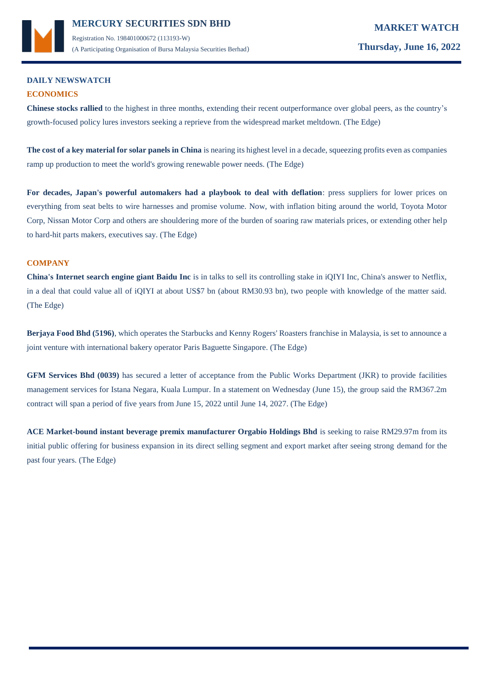

(A Participating Organisation of Bursa Malaysia Securities Berhad) **Thursday, June 16, 2022**

# **DAILY NEWSWATCH ECONOMICS**

**Chinese stocks rallied** to the highest in three months, extending their recent outperformance over global peers, as the country's growth-focused policy lures investors seeking a reprieve from the widespread market meltdown. (The Edge)

**The cost of a key material for solar panels in China** is nearing its highest level in a decade, squeezing profits even as companies ramp up production to meet the world's growing renewable power needs. (The Edge)

**For decades, Japan's powerful automakers had a playbook to deal with deflation**: press suppliers for lower prices on everything from seat belts to wire harnesses and promise volume. Now, with inflation biting around the world, Toyota Motor Corp, Nissan Motor Corp and others are shouldering more of the burden of soaring raw materials prices, or extending other help to hard-hit parts makers, executives say. (The Edge)

# **COMPANY**

**China's Internet search engine giant Baidu Inc** is in talks to sell its controlling stake in iQIYI Inc, China's answer to Netflix, in a deal that could value all of iQIYI at about US\$7 bn (about RM30.93 bn), two people with knowledge of the matter said. (The Edge)

**Berjaya Food Bhd (5196)**, which operates the Starbucks and Kenny Rogers' Roasters franchise in Malaysia, is set to announce a joint venture with international bakery operator Paris Baguette Singapore. (The Edge)

**GFM Services Bhd (0039)** has secured a letter of acceptance from the Public Works Department (JKR) to provide facilities management services for Istana Negara, Kuala Lumpur. In a statement on Wednesday (June 15), the group said the RM367.2m contract will span a period of five years from June 15, 2022 until June 14, 2027. (The Edge)

**ACE Market-bound instant beverage premix manufacturer Orgabio Holdings Bhd** is seeking to raise RM29.97m from its initial public offering for business expansion in its direct selling segment and export market after seeing strong demand for the past four years. (The Edge)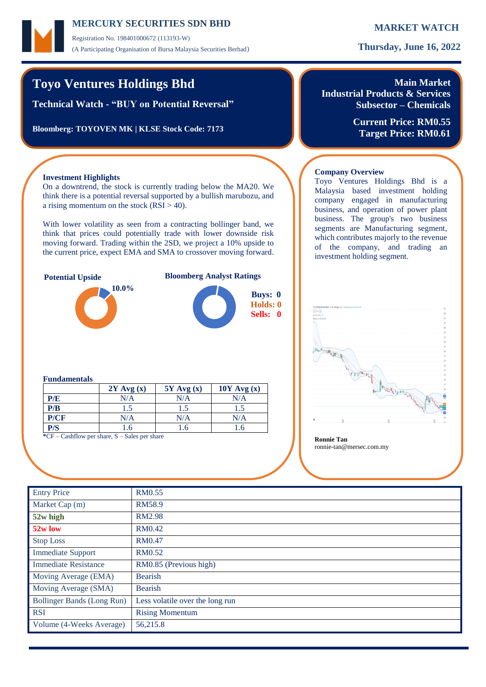Registration No. 198401000672 (113193-W) (A Participating Organisation of Bursa Malaysia Securities Berhad) **Thursday, June 16, 2022**

# **Toyo Ventures Holdings Bhd**

**Technical Watch - "BUY on Potential Reversal"**

**Bloomberg: TOYOVEN MK | KLSE Stock Code: 7173**

# **Main Market Industrial Products & Services Subsector – Chemicals**

**Current Price: RM0.55 Target Price: RM0.61**

Toyo Ventures Holdings Bhd is a Malaysia based investment holding company engaged in manufacturing business, and operation of power plant business. The group's two business segments are Manufacturing segment, which contributes majorly to the revenue of the company, and trading an

# **Investment Highlights**

On a downtrend, the stock is currently trading below the MA20. We think there is a potential reversal supported by a bullish marubozu, and a rising momentum on the stock  $(RSI > 40)$ .

With lower volatility as seen from a contracting bollinger band, we think that prices could potentially trade with lower downside risk moving forward. Trading within the 2SD, we project a 10% upside to the current price, expect EMA and SMA to crossover moving forward.





## **Fundamentals**

|                                                       | $2Y$ Avg $(x)$ | $5Y$ Avg $(x)$ | $10Y$ Avg $(x)$ |  |  |  |
|-------------------------------------------------------|----------------|----------------|-----------------|--|--|--|
| P/E                                                   | N/A            | N/A            | N/A             |  |  |  |
| P/B                                                   | 1.5            | 1.5            | 1.5             |  |  |  |
| P/CF                                                  | N/A            | N/A            | N/A             |  |  |  |
| P/S                                                   | 1.6            | 1.6            | 1.6             |  |  |  |
| $C_F$ $C$ central part chara $C$ $C$ class part chara |                |                |                 |  |  |  |

**\*\*\*** Shilow per share, S – Sales per share **Ronnie Tan** 

ronnie-tan@mersec.com.my

**Company Overview**

investment holding segment.

| <b>Entry Price</b>                | RM0.55                          |
|-----------------------------------|---------------------------------|
| Market Cap (m)                    | RM58.9                          |
| 52w high                          | <b>RM2.98</b>                   |
| 52w low                           | <b>RM0.42</b>                   |
| <b>Stop Loss</b>                  | <b>RM0.47</b>                   |
| <b>Immediate Support</b>          | <b>RM0.52</b>                   |
| <b>Immediate Resistance</b>       | RM0.85 (Previous high)          |
| Moving Average (EMA)              | <b>Bearish</b>                  |
| Moving Average (SMA)              | Bearish                         |
| <b>Bollinger Bands (Long Run)</b> | Less volatile over the long run |
| <b>RSI</b>                        | <b>Rising Momentum</b>          |
| Volume (4-Weeks Average)          | 56,215.8                        |
|                                   |                                 |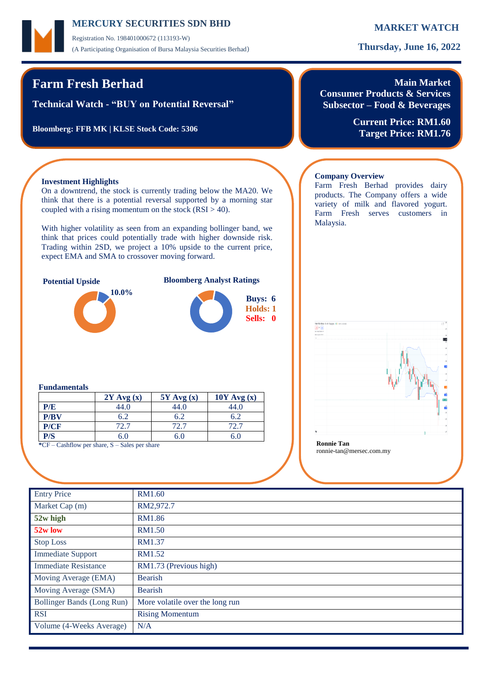Registration No. 198401000672 (113193-W) (A Participating Organisation of Bursa Malaysia Securities Berhad) **Thursday, June 16, 2022**

# **Farm Fresh Berhad**

**Technical Watch - "BUY on Potential Reversal"**

**Bloomberg: FFB MK | KLSE Stock Code: 5306**

# **Main Market**

**Consumer Products & Services Subsector – Food & Beverages**

Farm Fresh Berhad provides dairy products. The Company offers a wide variety of milk and flavored yogurt. Farm Fresh serves customers in

**Company Overview**

Malaysia.

**Current Price: RM1.60 Target Price: RM1.76**

# **Investment Highlights**

On a downtrend, the stock is currently trading below the MA20. We think that there is a potential reversal supported by a morning star coupled with a rising momentum on the stock  $(RSI > 40)$ .

With higher volatility as seen from an expanding bollinger band, we think that prices could potentially trade with higher downside risk. Trading within 2SD, we project a 10% upside to the current price, expect EMA and SMA to crossover moving forward.



# **Potential Upside Bloomberg Analyst Ratings**



# ronnie-tan@mersec.com.my

## **Fundamentals**

|      | $2Y$ Avg $(x)$ | $5Y$ Avg $(x)$ | $10Y$ Avg $(x)$ |
|------|----------------|----------------|-----------------|
| P/E  | 44.0           | 44.0           | 44.0            |
| P/BV | 6.2            | 6.2            | 6.2             |
| P/CF | 72.7           | 72.7           | 72.7            |
| P/S  | 6.0            | 6.0            | 6.0             |

**\***CF – Cashflow per share, S – Sales per share **Ronnie Tan**

| <b>Entry Price</b>          | <b>RM1.60</b>                   |
|-----------------------------|---------------------------------|
| Market Cap (m)              | RM2,972.7                       |
| 52w high                    | RM1.86                          |
| 52w low                     | <b>RM1.50</b>                   |
| <b>Stop Loss</b>            | RM1.37                          |
| <b>Immediate Support</b>    | RM1.52                          |
| <b>Immediate Resistance</b> | RM1.73 (Previous high)          |
| Moving Average (EMA)        | <b>Bearish</b>                  |
| Moving Average (SMA)        | <b>Bearish</b>                  |
| Bollinger Bands (Long Run)  | More volatile over the long run |
| <b>RSI</b>                  | <b>Rising Momentum</b>          |
| Volume (4-Weeks Average)    | N/A                             |
|                             |                                 |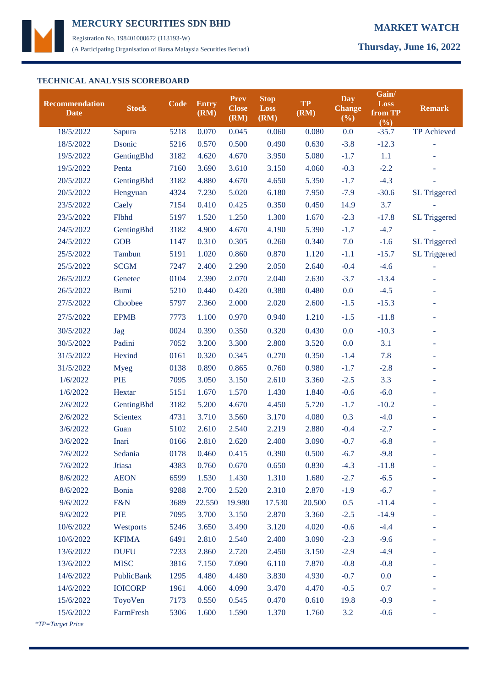

Registration No. 198401000672 (113193-W) (A Participating Organisation of Bursa Malaysia Securities Berhad) **Thursday, June 16, 2022**

# **TECHNICAL ANALYSIS SCOREBOARD**

| Recommendation<br><b>Date</b> | <b>Stock</b>   | Code | <b>Entry</b><br>(RM) | Prev<br><b>Close</b><br>(RM) | <b>Stop</b><br><b>Loss</b><br>(RM) | <b>TP</b><br>(RM) | Day<br><b>Change</b><br>(%) | Gain/<br><b>Loss</b><br>from TP<br>(%) | <b>Remark</b>            |
|-------------------------------|----------------|------|----------------------|------------------------------|------------------------------------|-------------------|-----------------------------|----------------------------------------|--------------------------|
| 18/5/2022                     | Sapura         | 5218 | 0.070                | 0.045                        | 0.060                              | 0.080             | 0.0                         | $-35.7$                                | TP Achieved              |
| 18/5/2022                     | Dsonic         | 5216 | 0.570                | 0.500                        | 0.490                              | 0.630             | $-3.8$                      | $-12.3$                                |                          |
| 19/5/2022                     | GentingBhd     | 3182 | 4.620                | 4.670                        | 3.950                              | 5.080             | $-1.7$                      | 1.1                                    |                          |
| 19/5/2022                     | Penta          | 7160 | 3.690                | 3.610                        | 3.150                              | 4.060             | $-0.3$                      | $-2.2$                                 |                          |
| 20/5/2022                     | GentingBhd     | 3182 | 4.880                | 4.670                        | 4.650                              | 5.350             | $-1.7$                      | $-4.3$                                 |                          |
| 20/5/2022                     | Hengyuan       | 4324 | 7.230                | 5.020                        | 6.180                              | 7.950             | $-7.9$                      | $-30.6$                                | SL Triggered             |
| 23/5/2022                     | Caely          | 7154 | 0.410                | 0.425                        | 0.350                              | 0.450             | 14.9                        | 3.7                                    |                          |
| 23/5/2022                     | Flbhd          | 5197 | 1.520                | 1.250                        | 1.300                              | 1.670             | $-2.3$                      | $-17.8$                                | <b>SL Triggered</b>      |
| 24/5/2022                     | GentingBhd     | 3182 | 4.900                | 4.670                        | 4.190                              | 5.390             | $-1.7$                      | $-4.7$                                 |                          |
| 24/5/2022                     | <b>GOB</b>     | 1147 | 0.310                | 0.305                        | 0.260                              | 0.340             | 7.0                         | $-1.6$                                 | <b>SL Triggered</b>      |
| 25/5/2022                     | Tambun         | 5191 | 1.020                | 0.860                        | 0.870                              | 1.120             | $-1.1$                      | $-15.7$                                | SL Triggered             |
| 25/5/2022                     | <b>SCGM</b>    | 7247 | 2.400                | 2.290                        | 2.050                              | 2.640             | $-0.4$                      | $-4.6$                                 | ÷                        |
| 26/5/2022                     | Genetec        | 0104 | 2.390                | 2.070                        | 2.040                              | 2.630             | $-3.7$                      | $-13.4$                                |                          |
| 26/5/2022                     | <b>Bumi</b>    | 5210 | 0.440                | 0.420                        | 0.380                              | 0.480             | 0.0                         | $-4.5$                                 |                          |
| 27/5/2022                     | Choobee        | 5797 | 2.360                | 2.000                        | 2.020                              | 2.600             | $-1.5$                      | $-15.3$                                | $\overline{\phantom{a}}$ |
| 27/5/2022                     | <b>EPMB</b>    | 7773 | 1.100                | 0.970                        | 0.940                              | 1.210             | $-1.5$                      | $-11.8$                                | $\overline{\phantom{a}}$ |
| 30/5/2022                     | Jag            | 0024 | 0.390                | 0.350                        | 0.320                              | 0.430             | 0.0                         | $-10.3$                                | ۰                        |
| 30/5/2022                     | Padini         | 7052 | 3.200                | 3.300                        | 2.800                              | 3.520             | 0.0                         | 3.1                                    | $\overline{\phantom{a}}$ |
| 31/5/2022                     | Hexind         | 0161 | 0.320                | 0.345                        | 0.270                              | 0.350             | $-1.4$                      | 7.8                                    | $\overline{\phantom{a}}$ |
| 31/5/2022                     | <b>Myeg</b>    | 0138 | 0.890                | 0.865                        | 0.760                              | 0.980             | $-1.7$                      | $-2.8$                                 | $\overline{\phantom{a}}$ |
| 1/6/2022                      | PIE            | 7095 | 3.050                | 3.150                        | 2.610                              | 3.360             | $-2.5$                      | 3.3                                    | ۰                        |
| 1/6/2022                      | Hextar         | 5151 | 1.670                | 1.570                        | 1.430                              | 1.840             | $-0.6$                      | $-6.0$                                 | $\blacksquare$           |
| 2/6/2022                      | GentingBhd     | 3182 | 5.200                | 4.670                        | 4.450                              | 5.720             | $-1.7$                      | $-10.2$                                | ۰                        |
| 2/6/2022                      | Scientex       | 4731 | 3.710                | 3.560                        | 3.170                              | 4.080             | 0.3                         | $-4.0$                                 |                          |
| 3/6/2022                      | Guan           | 5102 | 2.610                | 2.540                        | 2.219                              | 2.880             | $-0.4$                      | $-2.7$                                 |                          |
| 3/6/2022                      | Inari          | 0166 | 2.810                | 2.620                        | 2.400                              | 3.090             | $-0.7$                      | $-6.8$                                 |                          |
| 7/6/2022                      | Sedania        | 0178 | 0.460                | 0.415                        | 0.390                              | 0.500             | $-6.7$                      | $-9.8$                                 |                          |
| 7/6/2022                      | Jtiasa         | 4383 | 0.760                | 0.670                        | 0.650                              | 0.830             | $-4.3$                      | $-11.8$                                |                          |
| 8/6/2022                      | <b>AEON</b>    | 6599 | 1.530                | 1.430                        | 1.310                              | 1.680             | $-2.7$                      | $-6.5$                                 |                          |
| 8/6/2022                      | Bonia          | 9288 | 2.700                | 2.520                        | 2.310                              | 2.870             | $-1.9$                      | $-6.7$                                 |                          |
| 9/6/2022                      | F&N            | 3689 | 22.550               | 19.980                       | 17.530                             | 20.500            | 0.5                         | $-11.4$                                |                          |
| 9/6/2022                      | PIE            | 7095 | 3.700                | 3.150                        | 2.870                              | 3.360             | $-2.5$                      | $-14.9$                                |                          |
| 10/6/2022                     | Westports      | 5246 | 3.650                | 3.490                        | 3.120                              | 4.020             | $-0.6$                      | $-4.4$                                 |                          |
| 10/6/2022                     | <b>KFIMA</b>   | 6491 | 2.810                | 2.540                        | 2.400                              | 3.090             | $-2.3$                      | $-9.6$                                 |                          |
| 13/6/2022                     | <b>DUFU</b>    | 7233 | 2.860                | 2.720                        | 2.450                              | 3.150             | $-2.9$                      | $-4.9$                                 |                          |
| 13/6/2022                     | <b>MISC</b>    | 3816 | 7.150                | 7.090                        | 6.110                              | 7.870             | $-0.8$                      | $-0.8$                                 |                          |
| 14/6/2022                     | PublicBank     | 1295 | 4.480                | 4.480                        | 3.830                              | 4.930             | $-0.7$                      | 0.0                                    |                          |
| 14/6/2022                     | <b>IOICORP</b> | 1961 | 4.060                | 4.090                        | 3.470                              | 4.470             | $-0.5$                      | 0.7                                    |                          |
| 15/6/2022                     | ToyoVen        | 7173 | 0.550                | 0.545                        | 0.470                              | 0.610             | 19.8                        | $-0.9$                                 |                          |
| 15/6/2022                     | FarmFresh      | 5306 | 1.600                | 1.590                        | 1.370                              | 1.760             | 3.2                         | $-0.6$                                 |                          |
| *TP=Target Price              |                |      |                      |                              |                                    |                   |                             |                                        |                          |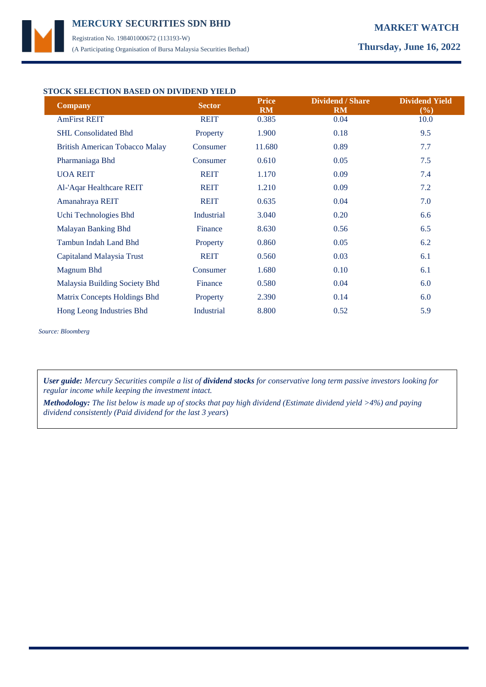Registration No. 198401000672 (113193-W) (A Participating Organisation of Bursa Malaysia Securities Berhad) **Thursday, June 16, 2022**

## **STOCK SELECTION BASED ON DIVIDEND YIELD**

| <b>Company</b>                        | <b>Sector</b>     | <b>Price</b><br><b>RM</b> | <b>Dividend / Share</b><br><b>RM</b> | <b>Dividend Yield</b><br>$(\%)$ |
|---------------------------------------|-------------------|---------------------------|--------------------------------------|---------------------------------|
| <b>AmFirst REIT</b>                   | <b>REIT</b>       | 0.385                     | 0.04                                 | 10.0                            |
| <b>SHL Consolidated Bhd</b>           | Property          | 1.900                     | 0.18                                 | 9.5                             |
| <b>British American Tobacco Malay</b> | Consumer          | 11.680                    | 0.89                                 | 7.7                             |
| Pharmaniaga Bhd                       | Consumer          | 0.610                     | 0.05                                 | 7.5                             |
| <b>UOA REIT</b>                       | <b>REIT</b>       | 1.170                     | 0.09                                 | 7.4                             |
| Al-'Aqar Healthcare REIT              | <b>REIT</b>       | 1.210                     | 0.09                                 | 7.2                             |
| Amanahraya REIT                       | <b>REIT</b>       | 0.635                     | 0.04                                 | 7.0                             |
| Uchi Technologies Bhd                 | <b>Industrial</b> | 3.040                     | 0.20                                 | 6.6                             |
| Malayan Banking Bhd                   | Finance           | 8.630                     | 0.56                                 | 6.5                             |
| Tambun Indah Land Bhd                 | Property          | 0.860                     | 0.05                                 | 6.2                             |
| Capitaland Malaysia Trust             | <b>REIT</b>       | 0.560                     | 0.03                                 | 6.1                             |
| Magnum Bhd                            | Consumer          | 1.680                     | 0.10                                 | 6.1                             |
| Malaysia Building Society Bhd         | Finance           | 0.580                     | 0.04                                 | 6.0                             |
| Matrix Concepts Holdings Bhd          | Property          | 2.390                     | 0.14                                 | 6.0                             |
| Hong Leong Industries Bhd             | <b>Industrial</b> | 8.800                     | 0.52                                 | 5.9                             |

*Source: Bloomberg*

*User guide: Mercury Securities compile a list of dividend stocks for conservative long term passive investors looking for regular income while keeping the investment intact.*

*Methodology: The list below is made up of stocks that pay high dividend (Estimate dividend yield >4%) and paying dividend consistently (Paid dividend for the last 3 years*)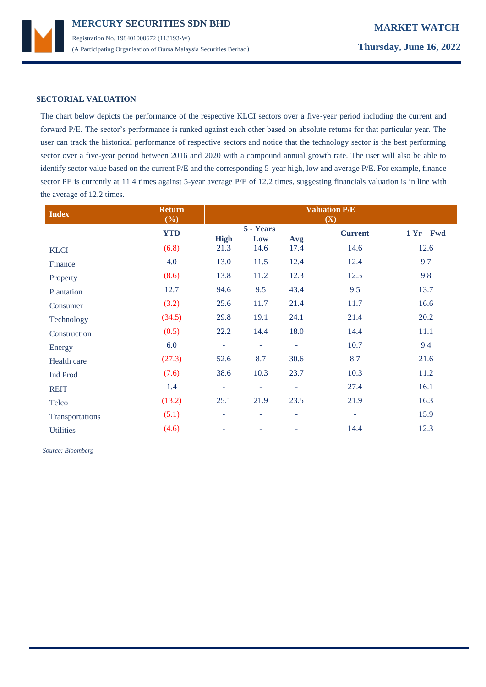

## **SECTORIAL VALUATION**

The chart below depicts the performance of the respective KLCI sectors over a five-year period including the current and forward P/E. The sector's performance is ranked against each other based on absolute returns for that particular year. The user can track the historical performance of respective sectors and notice that the technology sector is the best performing sector over a five-year period between 2016 and 2020 with a compound annual growth rate. The user will also be able to identify sector value based on the current P/E and the corresponding 5-year high, low and average P/E. For example, finance sector PE is currently at 11.4 times against 5-year average P/E of 12.2 times, suggesting financials valuation is in line with the average of 12.2 times.

| <b>Index</b>     | <b>Return</b><br>(%) | <b>Valuation P/E</b><br>(X) |                          |                |              |      |
|------------------|----------------------|-----------------------------|--------------------------|----------------|--------------|------|
|                  | <b>YTD</b>           | 5 - Years                   |                          | <b>Current</b> | $1 Yr - Fwd$ |      |
| <b>KLCI</b>      | (6.8)                | <b>High</b><br>21.3         | Low<br>14.6              | Avg<br>17.4    | 14.6         | 12.6 |
| Finance          | 4.0                  | 13.0                        | 11.5                     | 12.4           | 12.4         | 9.7  |
| Property         | (8.6)                | 13.8                        | 11.2                     | 12.3           | 12.5         | 9.8  |
| Plantation       | 12.7                 | 94.6                        | 9.5                      | 43.4           | 9.5          | 13.7 |
| Consumer         | (3.2)                | 25.6                        | 11.7                     | 21.4           | 11.7         | 16.6 |
| Technology       | (34.5)               | 29.8                        | 19.1                     | 24.1           | 21.4         | 20.2 |
| Construction     | (0.5)                | 22.2                        | 14.4                     | 18.0           | 14.4         | 11.1 |
| Energy           | 6.0                  | $\equiv$                    | ÷                        | ۰              | 10.7         | 9.4  |
| Health care      | (27.3)               | 52.6                        | 8.7                      | 30.6           | 8.7          | 21.6 |
| Ind Prod         | (7.6)                | 38.6                        | 10.3                     | 23.7           | 10.3         | 11.2 |
| <b>REIT</b>      | 1.4                  | ٠                           | ÷                        | ٠              | 27.4         | 16.1 |
| Telco            | (13.2)               | 25.1                        | 21.9                     | 23.5           | 21.9         | 16.3 |
| Transportations  | (5.1)                | $\overline{\phantom{a}}$    | $\overline{\phantom{a}}$ | ٠              | ۰            | 15.9 |
| <b>Utilities</b> | (4.6)                | $\overline{\phantom{a}}$    |                          | $\overline{a}$ | 14.4         | 12.3 |

 *Source: Bloomberg*